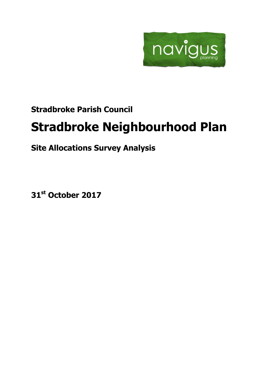

# **Stradbroke Parish Council**

# **Stradbroke Neighbourhood Plan**

# **Site Allocations Survey Analysis**

**31st October 2017**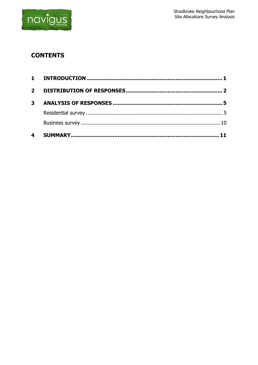

## **CONTENTS**

| 4            |  |
|--------------|--|
|              |  |
|              |  |
| $\mathbf{3}$ |  |
|              |  |
|              |  |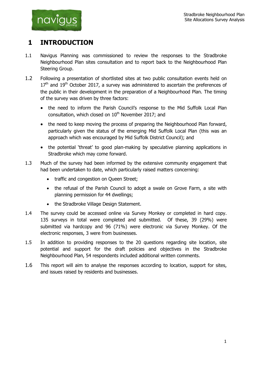

## <span id="page-2-0"></span>**1 INTRODUCTION**

- 1.1 Navigus Planning was commissioned to review the responses to the Stradbroke Neighbourhood Plan sites consultation and to report back to the Neighbourhood Plan Steering Group.
- 1.2 Following a presentation of shortlisted sites at two public consultation events held on  $17<sup>th</sup>$  and  $19<sup>th</sup>$  October 2017, a survey was administered to ascertain the preferences of the public in their development in the preparation of a Neighbourhood Plan. The timing of the survey was driven by three factors:
	- the need to inform the Parish Council's response to the Mid Suffolk Local Plan consultation, which closed on  $10<sup>th</sup>$  November 2017; and
	- the need to keep moving the process of preparing the Neighbourhood Plan forward, particularly given the status of the emerging Mid Suffolk Local Plan (this was an approach which was encouraged by Mid Suffolk District Council); and
	- the potential 'threat' to good plan-making by speculative planning applications in Stradbroke which may come forward.
- 1.3 Much of the survey had been informed by the extensive community engagement that had been undertaken to date, which particularly raised matters concerning:
	- traffic and congestion on Queen Street;
	- the refusal of the Parish Council to adopt a swale on Grove Farm, a site with planning permission for 44 dwellings;
	- the Stradbroke Village Design Statement.
- 1.4 The survey could be accessed online via Survey Monkey or completed in hard copy. 135 surveys in total were completed and submitted. Of these, 39 (29%) were submitted via hardcopy and 96 (71%) were electronic via Survey Monkey. Of the electronic responses, 3 were from businesses.
- 1.5 In addition to providing responses to the 20 questions regarding site location, site potential and support for the draft policies and objectives in the Stradbroke Neighbourhood Plan, 54 respondents included additional written comments.
- 1.6 This report will aim to analyse the responses according to location, support for sites, and issues raised by residents and businesses.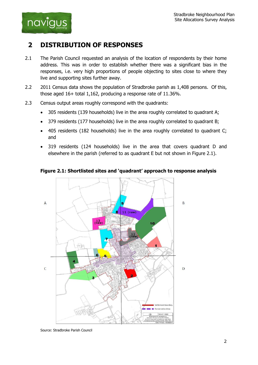

## <span id="page-3-0"></span>**2 DISTRIBUTION OF RESPONSES**

- 2.1 The Parish Council requested an analysis of the location of respondents by their home address. This was in order to establish whether there was a significant bias in the responses, i.e. very high proportions of people objecting to sites close to where they live and supporting sites further away.
- 2.2 2011 Census data shows the population of Stradbroke parish as 1,408 persons. Of this, those aged 16+ total 1,162, producing a response rate of 11.36%.
- 2.3 Census output areas roughly correspond with the quadrants:
	- 305 residents (139 households) live in the area roughly correlated to quadrant A;
	- 379 residents (177 households) live in the area roughly correlated to quadrant B;
	- 405 residents (182 households) live in the area roughly correlated to quadrant C; and
	- 319 residents (124 households) live in the area that covers quadrant D and elsewhere in the parish (referred to as quadrant E but not shown in Figure 2.1).



#### **Figure 2.1: Shortlisted sites and 'quadrant' approach to response analysis**

Source: Stradbroke Parish Council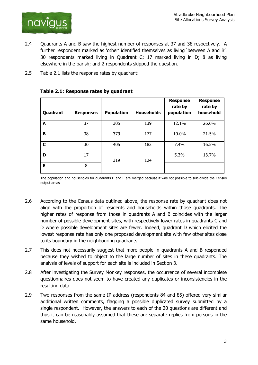

- 2.4 Quadrants A and B saw the highest number of responses at 37 and 38 respectively. A further respondent marked as 'other' identified themselves as living 'between A and B'. 30 respondents marked living in Quadrant C; 17 marked living in D; 8 as living elsewhere in the parish; and 2 respondents skipped the question.
- 2.5 Table 2.1 lists the response rates by quadrant:

| Quadrant | <b>Responses</b> | <b>Population</b> | <b>Households</b> | <b>Response</b><br>rate by<br>population | <b>Response</b><br>rate by<br>household |
|----------|------------------|-------------------|-------------------|------------------------------------------|-----------------------------------------|
| A        | 37               | 305               | 139               | 12.1%                                    | 26.6%                                   |
| B        | 38               | 379               | 177               | 10.0%                                    | 21.5%                                   |
| C        | 30               | 405               | 182               | 7.4%                                     | 16.5%                                   |
| D        | 17               | 319               | 124               | 5.3%                                     | 13.7%                                   |
| E        | 8                |                   |                   |                                          |                                         |

#### **Table 2.1: Response rates by quadrant**

The population and households for quadrants D and E are merged because it was not possible to sub-divide the Census output areas

- 2.6 According to the Census data outlined above, the response rate by quadrant does not align with the proportion of residents and households within those quadrants. The higher rates of response from those in quadrants A and B coincides with the larger number of possible development sites, with respectively lower rates in quadrants C and D where possible development sites are fewer. Indeed, quadrant D which elicited the lowest response rate has only one proposed development site with few other sites close to its boundary in the neighbouring quadrants.
- 2.7 This does not necessarily suggest that more people in quadrants A and B responded because they wished to object to the large number of sites in these quadrants. The analysis of levels of support for each site is included in Section 3.
- 2.8 After investigating the Survey Monkey responses, the occurrence of several incomplete questionnaires does not seem to have created any duplicates or inconsistencies in the resulting data.
- 2.9 Two responses from the same IP address (respondents 84 and 85) offered very similar additional written comments, flagging a possible duplicated survey submitted by a single respondent. However, the answers to each of the 20 questions are different and thus it can be reasonably assumed that these are separate replies from persons in the same household.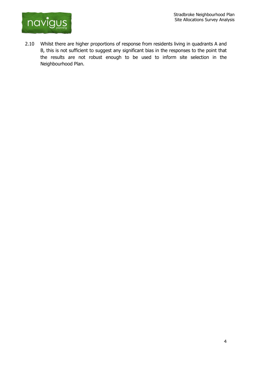

2.10 Whilst there are higher proportions of response from residents living in quadrants A and B, this is not sufficient to suggest any significant bias in the responses to the point that the results are not robust enough to be used to inform site selection in the Neighbourhood Plan.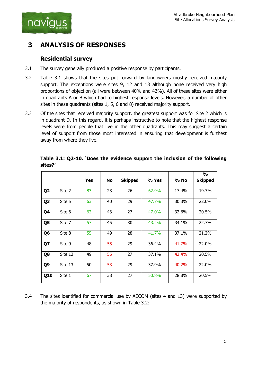

## <span id="page-6-0"></span>**3 ANALYSIS OF RESPONSES**

### <span id="page-6-1"></span>**Residential survey**

- 3.1 The survey generally produced a positive response by participants.
- 3.2 Table 3.1 shows that the sites put forward by landowners mostly received majority support. The exceptions were sites 9, 12 and 13 although none received very high proportions of objection (all were between 40% and 42%). All of these sites were either in quadrants A or B which had to highest response levels. However, a number of other sites in these quadrants (sites 1, 5, 6 and 8) received majority support.
- 3.3 Of the sites that received majority support, the greatest support was for Site 2 which is in quadrant D. In this regard, it is perhaps instructive to note that the highest response levels were from people that live in the other quadrants. This may suggest a certain level of support from those most interested in ensuring that development is furthest away from where they live.

|                |         |            |           |                |       |       | $\frac{1}{2}$  |
|----------------|---------|------------|-----------|----------------|-------|-------|----------------|
|                |         | <b>Yes</b> | <b>No</b> | <b>Skipped</b> | % Yes | % No  | <b>Skipped</b> |
| Q <sub>2</sub> | Site 2  | 83         | 23        | 26             | 62.9% | 17.4% | 19.7%          |
| Q <sub>3</sub> | Site 5  | 63         | 40        | 29             | 47.7% | 30.3% | 22.0%          |
| Q4             | Site 6  | 62         | 43        | 27             | 47.0% | 32.6% | 20.5%          |
| Q5             | Site 7  | 57         | 45        | 30             | 43.2% | 34.1% | 22.7%          |
| Q <sub>6</sub> | Site 8  | 55         | 49        | 28             | 41.7% | 37.1% | 21.2%          |
| Q7             | Site 9  | 48         | 55        | 29             | 36.4% | 41.7% | 22.0%          |
| Q8             | Site 12 | 49         | 56        | 27             | 37.1% | 42.4% | 20.5%          |
| Q <sub>9</sub> | Site 13 | 50         | 53        | 29             | 37.9% | 40.2% | 22.0%          |
| Q10            | Site 1  | 67         | 38        | 27             | 50.8% | 28.8% | 20.5%          |

**Table 3.1: Q2-10. 'Does the evidence support the inclusion of the following sites?'**

3.4 The sites identified for commercial use by AECOM (sites 4 and 13) were supported by the majority of respondents, as shown in Table 3.2: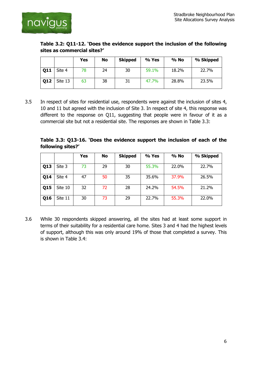

|                             | Table 3.2: Q11-12. `Does the evidence support the inclusion of the following |  |  |
|-----------------------------|------------------------------------------------------------------------------|--|--|
| sites as commercial sites?' |                                                                              |  |  |

|     |         | Yes | No | <b>Skipped</b> | % Yes | % No  | % Skipped |
|-----|---------|-----|----|----------------|-------|-------|-----------|
| Q11 | Site 4  | 78  | 24 | 30             | 59.1% | 18.2% | 22.7%     |
| Q12 | Site 13 | 63  | 38 | 31             | 47.7% | 28.8% | 23.5%     |

3.5 In respect of sites for residential use, respondents were against the inclusion of sites 4, 10 and 11 but agreed with the inclusion of Site 3. In respect of site 4, this response was different to the response on Q11, suggesting that people were in favour of it as a commercial site but not a residential site. The responses are shown in Table 3.3:

**Table 3.3: Q13-16. 'Does the evidence support the inclusion of each of the following sites?'**

|            |         | <b>Yes</b> | No | <b>Skipped</b> | % Yes | % No  | % Skipped |
|------------|---------|------------|----|----------------|-------|-------|-----------|
| Q13        | Site 3  | 73         | 29 | 30             | 55.3% | 22.0% | 22.7%     |
| <b>Q14</b> | Site 4  | 47         | 50 | 35             | 35.6% | 37.9% | 26.5%     |
| Q15        | Site 10 | 32         | 72 | 28             | 24.2% | 54.5% | 21.2%     |
| Q16        | Site 11 | 30         | 73 | 29             | 22.7% | 55.3% | 22.0%     |

3.6 While 30 respondents skipped answering, all the sites had at least some support in terms of their suitability for a residential care home. Sites 3 and 4 had the highest levels of support, although this was only around 19% of those that completed a survey. This is shown in Table 3.4: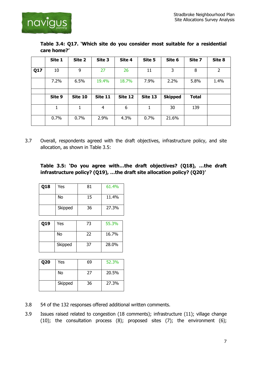

| Table 3.4: Q17. 'Which site do you consider most suitable for a residential |  |  |  |  |
|-----------------------------------------------------------------------------|--|--|--|--|
| care home?'                                                                 |  |  |  |  |

|     | Site 1 | Site 2  | Site 3  | Site 4  | Site 5  | Site 6         | Site 7       | Site 8 |
|-----|--------|---------|---------|---------|---------|----------------|--------------|--------|
| Q17 | 10     | 9       | 27      | 26      | 11      | 3              | 8            | 2      |
|     | 7.2%   | 6.5%    | 19.4%   | 18.7%   | 7.9%    | 2.2%           | 5.8%         | 1.4%   |
|     |        |         |         |         |         |                |              |        |
|     | Site 9 | Site 10 | Site 11 | Site 12 | Site 13 | <b>Skipped</b> | <b>Total</b> |        |
|     |        | 1       | 4       | 6       | 1       | 30             | 139          |        |
|     | 0.7%   | 0.7%    | 2.9%    | 4.3%    | 0.7%    | 21.6%          |              |        |

3.7 Overall, respondents agreed with the draft objectives, infrastructure policy, and site allocation, as shown in Table 3.5:

#### **Table 3.5: 'Do you agree with…the draft objectives? (Q18), …the draft infrastructure policy? (Q19), …the draft site allocation policy? (Q20)'**

| Q18 | Yes     | 81 | 61.4% |
|-----|---------|----|-------|
|     | No      | 15 | 11.4% |
|     | Skipped | 36 | 27.3% |

| Q19 | Yes     | 73 | 55.3% |
|-----|---------|----|-------|
|     | No      | 22 | 16.7% |
|     | Skipped | 37 | 28.0% |

| <b>Q20</b> | Yes     | 69 | 52.3% |
|------------|---------|----|-------|
|            | No      | 27 | 20.5% |
|            | Skipped | 36 | 27.3% |

- 3.8 54 of the 132 responses offered additional written comments.
- 3.9 Issues raised related to congestion (18 comments); infrastructure (11); village change (10); the consultation process (8); proposed sites (7); the environment (6);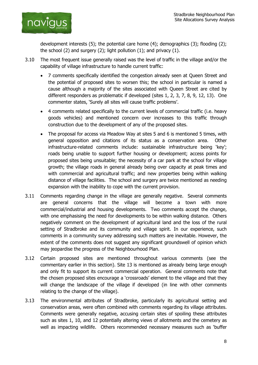

development interests (5); the potential care home (4); demographics (3); flooding (2); the school (2) and surgery (2); light pollution (1); and privacy (1).

- 3.10 The most frequent issue generally raised was the level of traffic in the village and/or the capability of village infrastructure to handle current traffic:
	- 7 comments specifically identified the congestion already seen at Queen Street and the potential of proposed sites to worsen this; the school in particular is named a cause although a majority of the sites associated with Queen Street are cited by different responders as problematic if developed (sites 1, 2, 3, 7, 8, 9, 12, 13). One commenter states, 'Surely all sites will cause traffic problems'.
	- 4 comments related specifically to the current levels of commercial traffic (i.e. heavy goods vehicles) and mentioned concern over increases to this traffic through construction due to the development of any of the proposed sites.
	- The proposal for access via Meadow Way at sites 5 and 6 is mentioned 5 times, with general opposition and citations of its status as a conservation area. Other infrastructure-related comments include: sustainable infrastructure being 'key'; roads being unable to support further housing or development; access points for proposed sites being unsuitable; the necessity of a car park at the school for village growth; the village roads in general already being over capacity at peak times and with commercial and agricultural traffic; and new properties being within walking distance of village facilities. The school and surgery are twice mentioned as needing expansion with the inability to cope with the current provision.
- 3.11 Comments regarding change in the village are generally negative. Several comments are general concerns that the village will become a town with more commercial/industrial and housing developments. Two comments accept the change, with one emphasising the need for developments to be within walking distance. Others negatively comment on the development of agricultural land and the loss of the rural setting of Stradbroke and its community and village spirit. In our experience, such comments in a community survey addressing such matters are inevitable. However, the extent of the comments does not suggest any significant groundswell of opinion which may jeopardise the progress of the Neighbourhood Plan.
- 3.12 Certain proposed sites are mentioned throughout various comments (see the commentary earlier in this section). Site 13 is mentioned as already being large enough and only fit to support its current commercial operation. General comments note that the chosen proposed sites encourage a 'crossroads' element to the village and that they will change the landscape of the village if developed (in line with other comments relating to the change of the village).
- 3.13 The environmental attributes of Stradbroke, particularly its agricultural setting and conservation areas, were often combined with comments regarding its village attributes. Comments were generally negative, accusing certain sites of spoiling these attributes such as sites 1, 10, and 12 potentially altering views of allotments and the cemetery as well as impacting wildlife. Others recommended necessary measures such as 'buffer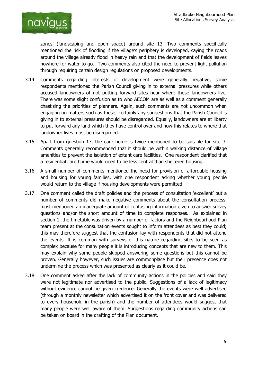

zones' (landscaping and open space) around site 13. Two comments specifically mentioned the risk of flooding if the village's periphery is developed, saying the roads around the village already flood in heavy rain and that the development of fields leaves nowhere for water to go. Two comments also cited the need to prevent light pollution through requiring certain design regulations on proposed developments.

- 3.14 Comments regarding interests of development were generally negative; some respondents mentioned the Parish Council giving in to external pressures while others accused landowners of not putting forward sites near where those landowners live. There was some slight confusion as to who AECOM are as well as a comment generally chastising the priorities of planners. Again, such comments are not uncommon when engaging on matters such as these; certainly any suggestions that the Parish Council is giving in to external pressures should be disregarded. Equally, landowners are at liberty to put forward any land which they have control over and how this relates to where that landowner lives must be disregarded.
- 3.15 Apart from question 17, the care home is twice mentioned to be suitable for site 3. Comments generally recommended that it should be within walking distance of village amenities to prevent the isolation of extant care facilities. One respondent clarified that a residential care home would need to be less central than sheltered housing.
- 3.16 A small number of comments mentioned the need for provision of affordable housing and housing for young families, with one respondent asking whether young people would return to the village if housing developments were permitted.
- 3.17 One comment called the draft policies and the process of consultation 'excellent' but a number of comments did make negative comments about the consultation process. most mentioned an inadequate amount of confusing information given to answer survey questions and/or the short amount of time to complete responses. As explained in section 1, the timetable was driven by a number of factors and the Neighbourhood Plan team present at the consultation events sought to inform attendees as best they could; this may therefore suggest that the confusion lay with respondents that did not attend the events. It is common with surveys of this nature regarding sites to be seen as complex because for many people it is introducing concepts that are new to them. This may explain why some people skipped answering some questions but this cannot be proven. Generally however, such issues are commonplace but their presence does not undermine the process which was presented as clearly as it could be.
- 3.18 One comment asked after the lack of community actions in the policies and said they were not legitimate nor advertised to the public. Suggestions of a lack of legitimacy without evidence cannot be given credence. Generally the events were well advertised (through a monthly newsletter which advertised it on the front cover and was delivered to every household in the parish) and the number of attendees would suggest that many people were well aware of them. Suggestions regarding community actions can be taken on board in the drafting of the Plan document.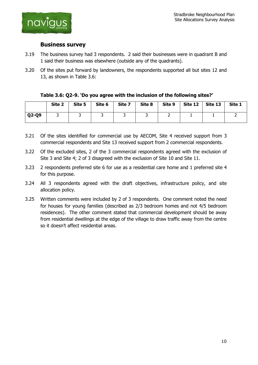

#### <span id="page-11-0"></span>**Business survey**

- 3.19 The business survey had 3 respondents. 2 said their businesses were in quadrant B and 1 said their business was elsewhere (outside any of the quadrants).
- 3.20 Of the sites put forward by landowners, the respondents supported all but sites 12 and 13, as shown in Table 3.6:

#### **Table 3.6: Q2-9. 'Do you agree with the inclusion of the following sites?'**

|         | Site 2 | Site 5 | Site 6 | Site 7 | Site 8 | Site 9 | <b>Site 12</b> | Site 13 | Site 1 |
|---------|--------|--------|--------|--------|--------|--------|----------------|---------|--------|
| $Q2-Q9$ |        | ∽      |        |        |        | _      |                |         |        |

- 3.21 Of the sites identified for commercial use by AECOM, Site 4 received support from 3 commercial respondents and Site 13 received support from 2 commercial respondents.
- 3.22 Of the excluded sites, 2 of the 3 commercial respondents agreed with the exclusion of Site 3 and Site 4; 2 of 3 disagreed with the exclusion of Site 10 and Site 11.
- 3.23 2 respondents preferred site 6 for use as a residential care home and 1 preferred site 4 for this purpose.
- 3.24 All 3 respondents agreed with the draft objectives, infrastructure policy, and site allocation policy.
- 3.25 Written comments were included by 2 of 3 respondents. One comment noted the need for houses for young families (described as 2/3 bedroom homes and not 4/5 bedroom residences). The other comment stated that commercial development should be away from residential dwellings at the edge of the village to draw traffic away from the centre so it doesn't affect residential areas.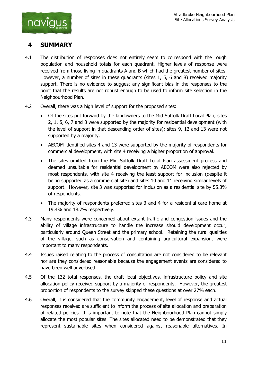

## <span id="page-12-0"></span>**4 SUMMARY**

- 4.1 The distribution of responses does not entirely seem to correspond with the rough population and household totals for each quadrant. Higher levels of response were received from those living in quadrants A and B which had the greatest number of sites. However, a number of sites in these quadrants (sites 1, 5, 6 and 8) received majority support. There is no evidence to suggest any significant bias in the responses to the point that the results are not robust enough to be used to inform site selection in the Neighbourhood Plan.
- 4.2 Overall, there was a high level of support for the proposed sites:
	- Of the sites put forward by the landowners to the Mid Suffolk Draft Local Plan, sites 2, 1, 5, 6, 7 and 8 were supported by the majority for residential development (with the level of support in that descending order of sites); sites 9, 12 and 13 were not supported by a majority.
	- AECOM-identified sites 4 and 13 were supported by the majority of respondents for commercial development, with site 4 receiving a higher proportion of approval.
	- The sites omitted from the Mid Suffolk Draft Local Plan assessment process and deemed unsuitable for residential development by AECOM were also rejected by most respondents, with site 4 receiving the least support for inclusion (despite it being supported as a commercial site) and sites 10 and 11 receiving similar levels of support. However, site 3 was supported for inclusion as a residential site by 55.3% of respondents.
	- The majority of respondents preferred sites 3 and 4 for a residential care home at 19.4% and 18.7% respectively.
- 4.3 Many respondents were concerned about extant traffic and congestion issues and the ability of village infrastructure to handle the increase should development occur, particularly around Queen Street and the primary school. Retaining the rural qualities of the village, such as conservation and containing agricultural expansion, were important to many respondents.
- 4.4 Issues raised relating to the process of consultation are not considered to be relevant nor are they considered reasonable because the engagement events are considered to have been well advertised.
- 4.5 Of the 132 total responses, the draft local objectives, infrastructure policy and site allocation policy received support by a majority of respondents. However, the greatest proportion of respondents to the survey skipped these questions at over 27% each.
- 4.6 Overall, it is considered that the community engagement, level of response and actual responses received are sufficient to inform the process of site allocation and preparation of related policies. It is important to note that the Neighbourhood Plan cannot simply allocate the most popular sites. The sites allocated need to be demonstrated that they represent sustainable sites when considered against reasonable alternatives. In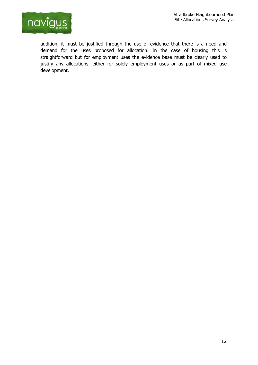

addition, it must be justified through the use of evidence that there is a need and demand for the uses proposed for allocation. In the case of housing this is straightforward but for employment uses the evidence base must be clearly used to justify any allocations, either for solely employment uses or as part of mixed use development.